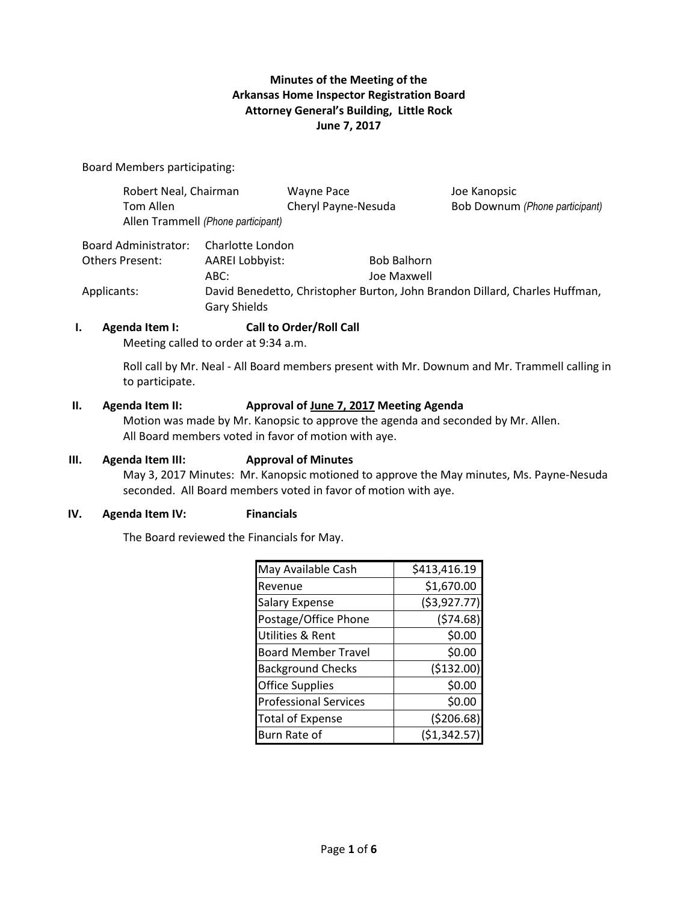## **Minutes of the Meeting of the Arkansas Home Inspector Registration Board Attorney General's Building, Little Rock June 7, 2017**

Board Members participating:

| Robert Neal, Chairman<br>Tom Allen | Allen Trammell (Phone participant)                                                                 | <b>Wayne Pace</b><br>Cheryl Payne-Nesuda | Joe Kanopsic<br>Bob Downum (Phone participant) |
|------------------------------------|----------------------------------------------------------------------------------------------------|------------------------------------------|------------------------------------------------|
| Board Administrator:               | Charlotte London                                                                                   |                                          |                                                |
| Others Present:                    | <b>AAREI Lobbyist:</b>                                                                             | <b>Bob Balhorn</b>                       |                                                |
|                                    | ABC:                                                                                               | Joe Maxwell                              |                                                |
| Applicants:                        | David Benedetto, Christopher Burton, John Brandon Dillard, Charles Huffman,<br><b>Gary Shields</b> |                                          |                                                |

### **I. Agenda Item I: Call to Order/Roll Call**

Meeting called to order at 9:34 a.m.

Roll call by Mr. Neal - All Board members present with Mr. Downum and Mr. Trammell calling in to participate.

#### **II. Agenda Item II: Approval of <u>June 7, 2017</u> Meeting Agenda**

 Motion was made by Mr. Kanopsic to approve the agenda and seconded by Mr. Allen. All Board members voted in favor of motion with aye.

#### **III. Agenda Item III: Approval of Minutes**

May 3, 2017 Minutes: Mr. Kanopsic motioned to approve the May minutes, Ms. Payne-Nesuda seconded. All Board members voted in favor of motion with aye.

### **IV. Agenda Item IV: Financials**

The Board reviewed the Financials for May.

| May Available Cash           | \$413,416.19  |
|------------------------------|---------------|
| Revenue                      | \$1,670.00    |
| <b>Salary Expense</b>        | ( \$3,927.77) |
| Postage/Office Phone         | (574.68)      |
| Utilities & Rent             | \$0.00        |
| <b>Board Member Travel</b>   | \$0.00        |
| <b>Background Checks</b>     | (\$132.00)    |
| <b>Office Supplies</b>       | \$0.00        |
| <b>Professional Services</b> | \$0.00        |
| <b>Total of Expense</b>      | (5206.68)     |
| Burn Rate of                 | ( \$1,342.57] |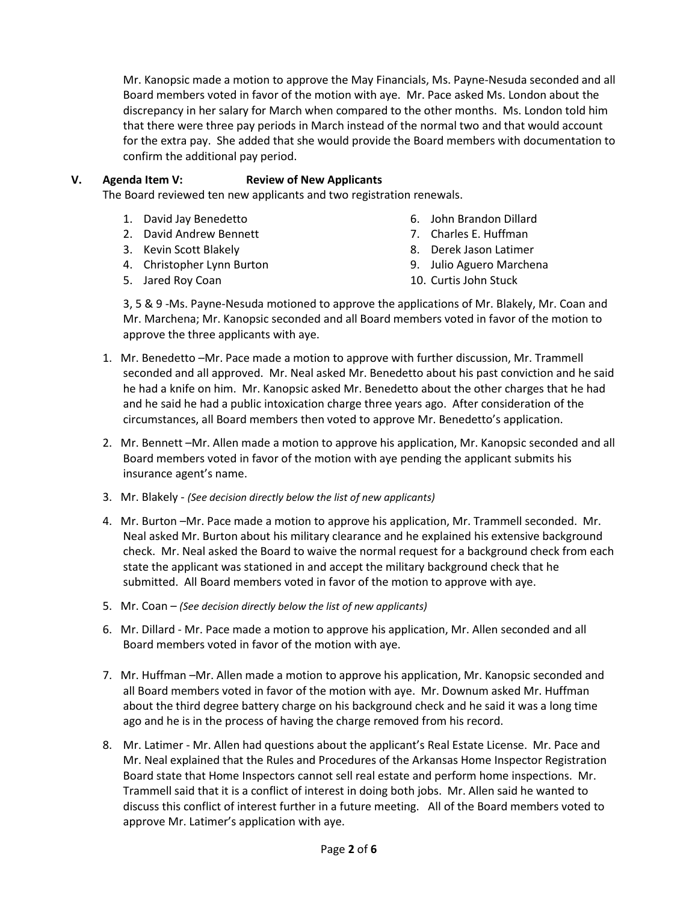Mr. Kanopsic made a motion to approve the May Financials, Ms. Payne-Nesuda seconded and all Board members voted in favor of the motion with aye. Mr. Pace asked Ms. London about the discrepancy in her salary for March when compared to the other months. Ms. London told him that there were three pay periods in March instead of the normal two and that would account for the extra pay. She added that she would provide the Board members with documentation to confirm the additional pay period.

## **V. Agenda Item V: Review of New Applicants**

The Board reviewed ten new applicants and two registration renewals.

- 1. David Jay Benedetto
- 2. David Andrew Bennett
- 3. Kevin Scott Blakely
- 4. Christopher Lynn Burton
- 5. Jared Roy Coan
- 6. John Brandon Dillard
- 7. Charles E. Huffman
- 8. Derek Jason Latimer
- 9. Julio Aguero Marchena
- 10. Curtis John Stuck

 3, 5 & 9 -Ms. Payne-Nesuda motioned to approve the applications of Mr. Blakely, Mr. Coan and Mr. Marchena; Mr. Kanopsic seconded and all Board members voted in favor of the motion to approve the three applicants with aye.

- 1. Mr. Benedetto –Mr. Pace made a motion to approve with further discussion, Mr. Trammell seconded and all approved. Mr. Neal asked Mr. Benedetto about his past conviction and he said he had a knife on him. Mr. Kanopsic asked Mr. Benedetto about the other charges that he had and he said he had a public intoxication charge three years ago. After consideration of the circumstances, all Board members then voted to approve Mr. Benedetto's application.
- 2. Mr. Bennett –Mr. Allen made a motion to approve his application, Mr. Kanopsic seconded and all Board members voted in favor of the motion with aye pending the applicant submits his insurance agent's name.
- 3. Mr. Blakely *(See decision directly below the list of new applicants)*
- 4. Mr. Burton –Mr. Pace made a motion to approve his application, Mr. Trammell seconded. Mr. Neal asked Mr. Burton about his military clearance and he explained his extensive background check. Mr. Neal asked the Board to waive the normal request for a background check from each state the applicant was stationed in and accept the military background check that he submitted. All Board members voted in favor of the motion to approve with aye.
- 5. Mr. Coan *(See decision directly below the list of new applicants)*
- 6. Mr. Dillard Mr. Pace made a motion to approve his application, Mr. Allen seconded and all Board members voted in favor of the motion with aye.
- 7. Mr. Huffman –Mr. Allen made a motion to approve his application, Mr. Kanopsic seconded and all Board members voted in favor of the motion with aye. Mr. Downum asked Mr. Huffman about the third degree battery charge on his background check and he said it was a long time ago and he is in the process of having the charge removed from his record.
- 8. Mr. Latimer Mr. Allen had questions about the applicant's Real Estate License. Mr. Pace and Mr. Neal explained that the Rules and Procedures of the Arkansas Home Inspector Registration Board state that Home Inspectors cannot sell real estate and perform home inspections. Mr. Trammell said that it is a conflict of interest in doing both jobs. Mr. Allen said he wanted to discuss this conflict of interest further in a future meeting. All of the Board members voted to approve Mr. Latimer's application with aye.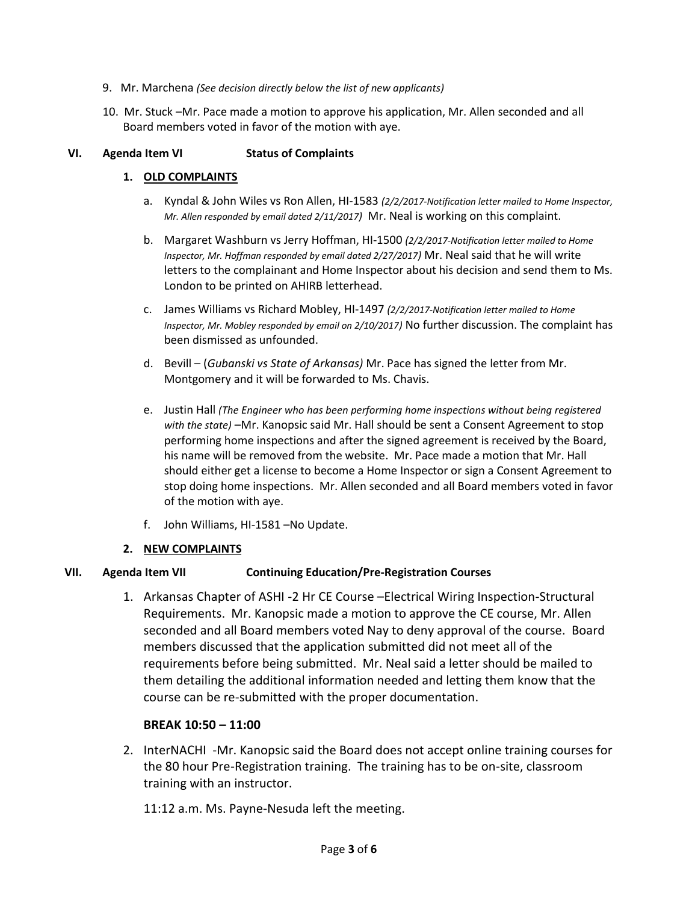- 9. Mr. Marchena *(See decision directly below the list of new applicants)*
- 10. Mr. Stuck –Mr. Pace made a motion to approve his application, Mr. Allen seconded and all Board members voted in favor of the motion with aye.

### **VI. Agenda Item VI Status of Complaints**

### **1. OLD COMPLAINTS**

- a. Kyndal & John Wiles vs Ron Allen, HI-1583 *(2/2/2017-Notification letter mailed to Home Inspector, Mr. Allen responded by email dated 2/11/2017)* Mr. Neal is working on this complaint.
- b. Margaret Washburn vs Jerry Hoffman, HI-1500 *(2/2/2017-Notification letter mailed to Home Inspector, Mr. Hoffman responded by email dated 2/27/2017)* Mr. Neal said that he will write letters to the complainant and Home Inspector about his decision and send them to Ms. London to be printed on AHIRB letterhead.
- c. James Williams vs Richard Mobley, HI-1497 *(2/2/2017-Notification letter mailed to Home Inspector, Mr. Mobley responded by email on 2/10/2017)* No further discussion. The complaint has been dismissed as unfounded.
- d. Bevill (*Gubanski vs State of Arkansas)* Mr. Pace has signed the letter from Mr. Montgomery and it will be forwarded to Ms. Chavis.
- e. Justin Hall *(The Engineer who has been performing home inspections without being registered with the state)* –Mr. Kanopsic said Mr. Hall should be sent a Consent Agreement to stop performing home inspections and after the signed agreement is received by the Board, his name will be removed from the website. Mr. Pace made a motion that Mr. Hall should either get a license to become a Home Inspector or sign a Consent Agreement to stop doing home inspections. Mr. Allen seconded and all Board members voted in favor of the motion with aye.
- f. John Williams, HI-1581 –No Update.

### **2. NEW COMPLAINTS**

## **VII. Agenda Item VII Continuing Education/Pre-Registration Courses**

1. Arkansas Chapter of ASHI -2 Hr CE Course –Electrical Wiring Inspection-Structural Requirements. Mr. Kanopsic made a motion to approve the CE course, Mr. Allen seconded and all Board members voted Nay to deny approval of the course. Board members discussed that the application submitted did not meet all of the requirements before being submitted. Mr. Neal said a letter should be mailed to them detailing the additional information needed and letting them know that the course can be re-submitted with the proper documentation.

## **BREAK 10:50 – 11:00**

2. InterNACHI -Mr. Kanopsic said the Board does not accept online training courses for the 80 hour Pre-Registration training. The training has to be on-site, classroom training with an instructor.

11:12 a.m. Ms. Payne-Nesuda left the meeting.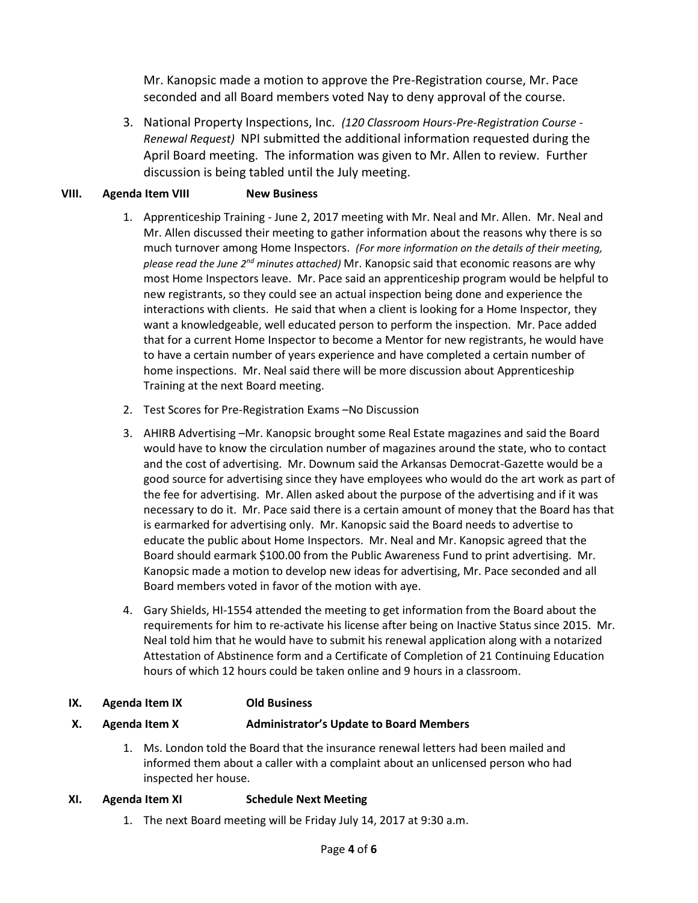Mr. Kanopsic made a motion to approve the Pre-Registration course, Mr. Pace seconded and all Board members voted Nay to deny approval of the course.

3. National Property Inspections, Inc. *(120 Classroom Hours-Pre-Registration Course - Renewal Request)* NPI submitted the additional information requested during the April Board meeting. The information was given to Mr. Allen to review. Further discussion is being tabled until the July meeting.

# **VIII. Agenda Item VIII New Business**

- 1. Apprenticeship Training June 2, 2017 meeting with Mr. Neal and Mr. Allen. Mr. Neal and Mr. Allen discussed their meeting to gather information about the reasons why there is so much turnover among Home Inspectors. *(For more information on the details of their meeting, please read the June 2nd minutes attached)* Mr. Kanopsic said that economic reasons are why most Home Inspectors leave. Mr. Pace said an apprenticeship program would be helpful to new registrants, so they could see an actual inspection being done and experience the interactions with clients. He said that when a client is looking for a Home Inspector, they want a knowledgeable, well educated person to perform the inspection. Mr. Pace added that for a current Home Inspector to become a Mentor for new registrants, he would have to have a certain number of years experience and have completed a certain number of home inspections. Mr. Neal said there will be more discussion about Apprenticeship Training at the next Board meeting.
- 2. Test Scores for Pre-Registration Exams –No Discussion
- 3. AHIRB Advertising –Mr. Kanopsic brought some Real Estate magazines and said the Board would have to know the circulation number of magazines around the state, who to contact and the cost of advertising. Mr. Downum said the Arkansas Democrat-Gazette would be a good source for advertising since they have employees who would do the art work as part of the fee for advertising. Mr. Allen asked about the purpose of the advertising and if it was necessary to do it. Mr. Pace said there is a certain amount of money that the Board has that is earmarked for advertising only. Mr. Kanopsic said the Board needs to advertise to educate the public about Home Inspectors. Mr. Neal and Mr. Kanopsic agreed that the Board should earmark \$100.00 from the Public Awareness Fund to print advertising. Mr. Kanopsic made a motion to develop new ideas for advertising, Mr. Pace seconded and all Board members voted in favor of the motion with aye.
- 4. Gary Shields, HI-1554 attended the meeting to get information from the Board about the requirements for him to re-activate his license after being on Inactive Status since 2015. Mr. Neal told him that he would have to submit his renewal application along with a notarized Attestation of Abstinence form and a Certificate of Completion of 21 Continuing Education hours of which 12 hours could be taken online and 9 hours in a classroom.
- **IX. Agenda Item IX Old Business**

### **X. Agenda Item X Administrator's Update to Board Members**

1. Ms. London told the Board that the insurance renewal letters had been mailed and informed them about a caller with a complaint about an unlicensed person who had inspected her house.

## **XI. Agenda Item XI Schedule Next Meeting**

1. The next Board meeting will be Friday July 14, 2017 at 9:30 a.m.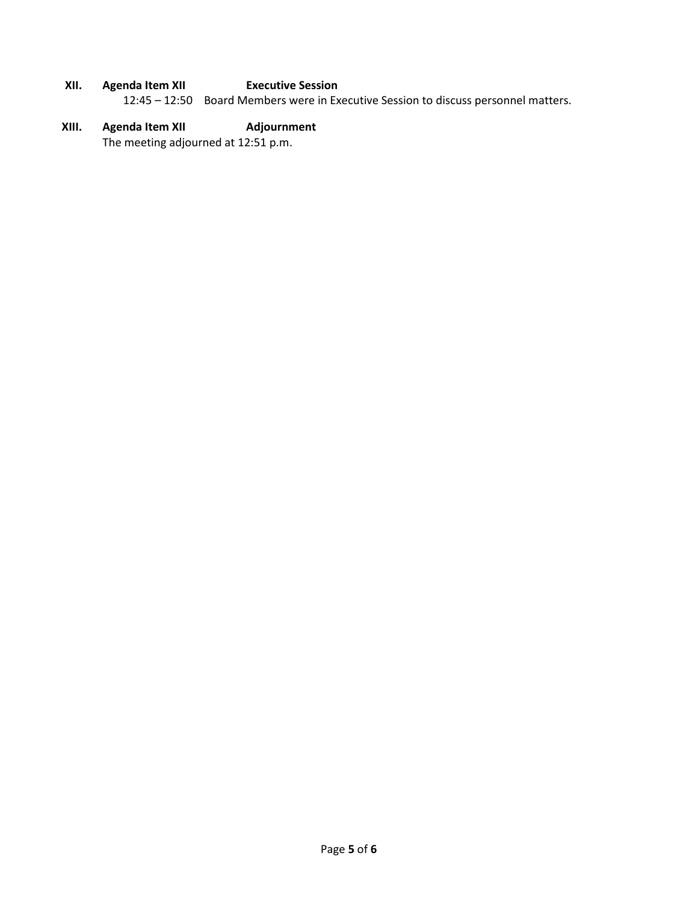- **XII. Agenda Item XII Executive Session**  12:45 – 12:50 Board Members were in Executive Session to discuss personnel matters.
- **XIII. Agenda Item XII Adjournment**  The meeting adjourned at 12:51 p.m.